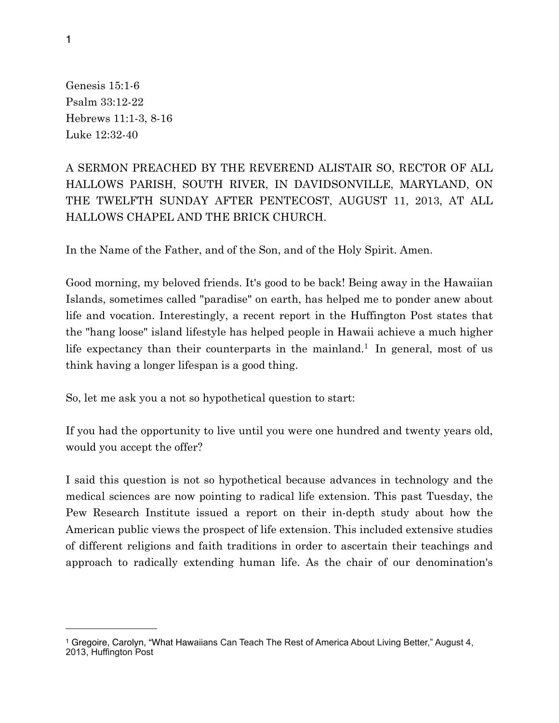Genesis 15:1-6 Psalm 33:12-22 Hebrews 11:1-3, 8-16 Luke 12:32-40

## A SERMON PREACHED BY THE REVEREND ALISTAIR SO, RECTOR OF ALL HALLOWS PARISH, SOUTH RIVER, IN DAVIDSONVILLE, MARYLAND, ON THE TWELFTH SUNDAY AFTER PENTECOST, AUGUST 11, 2013, AT ALL HALLOWS CHAPEL AND THE BRICK CHURCH.

In the Name of the Father, and of the Son, and of the Holy Spirit. Amen.

Good morning, my beloved friends. It's good to be back! Being away in the Hawaiian Islands, sometimes called "paradise" on earth, has helped me to ponder anew about life and vocation. Interestingly, a recent report in the Huffington Post states that the "hang loose" island lifestyle has helped people in Hawaii achieve a much higher life expectancy than their counterparts in the mainland.<sup>[1](#page-0-0)</sup> In general, most of us think having a longer lifespan is a good thing.

So, let me ask you a not so hypothetical question to start:

If you had the opportunity to live until you were one hundred and twenty years old, would you accept the offer?

I said this question is not so hypothetical because advances in technology and the medical sciences are now pointing to radical life extension. This past Tuesday, the Pew Research Institute issued a report on their in-depth study about how the American public views the prospect of life extension. This included extensive studies of different religions and faith traditions in order to ascertain their teachings and approach to radically extending human life. As the chair of our denomination's

<span id="page-0-0"></span><sup>&</sup>lt;sup>1</sup> Gregoire, Carolyn, "What Hawaiians Can Teach The Rest of America About Living Better," August 4, 2013, Huffington Post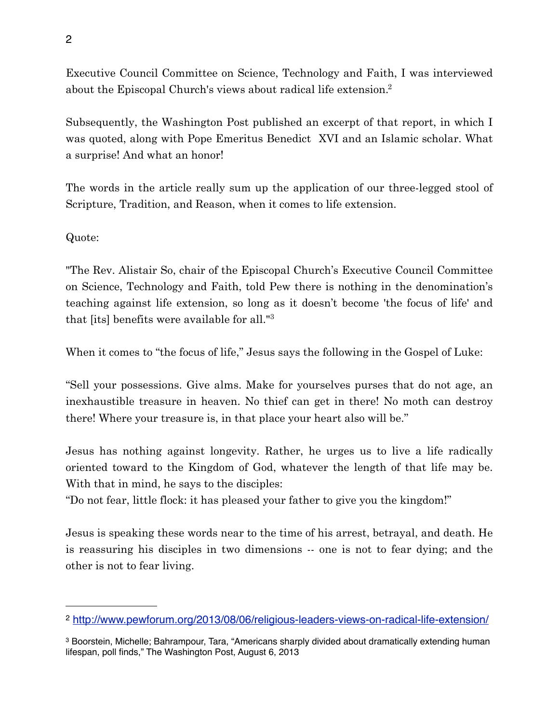Executive Council Committee on Science, Technology and Faith, I was interviewed about the Episcopal Church's views about radical life extension[.2](#page-1-0)

Subsequently, the Washington Post published an excerpt of that report, in which I was quoted, along with Pope Emeritus Benedict XVI and an Islamic scholar. What a surprise! And what an honor!

The words in the article really sum up the application of our three-legged stool of Scripture, Tradition, and Reason, when it comes to life extension.

Quote:

"The Rev. Alistair So, chair of the Episcopal Church's Executive Council Committee on Science, Technology and Faith, told Pew there is nothing in the denomination's teaching against life extension, so long as it doesn't become 'the focus of life' and that [its] benefits were available for all.["3](#page-1-1)

When it comes to "the focus of life," Jesus says the following in the Gospel of Luke:

"Sell your possessions. Give alms. Make for yourselves purses that do not age, an inexhaustible treasure in heaven. No thief can get in there! No moth can destroy there! Where your treasure is, in that place your heart also will be."

Jesus has nothing against longevity. Rather, he urges us to live a life radically oriented toward to the Kingdom of God, whatever the length of that life may be. With that in mind, he says to the disciples:

"Do not fear, little flock: it has pleased your father to give you the kingdom!"

Jesus is speaking these words near to the time of his arrest, betrayal, and death. He is reassuring his disciples in two dimensions -- one is not to fear dying; and the other is not to fear living.

<span id="page-1-0"></span><sup>2</sup> <http://www.pewforum.org/2013/08/06/religious-leaders-views-on-radical-life-extension/>

<span id="page-1-1"></span><sup>3</sup> Boorstein, Michelle; Bahrampour, Tara, "Americans sharply divided about dramatically extending human lifespan, poll finds," The Washington Post, August 6, 2013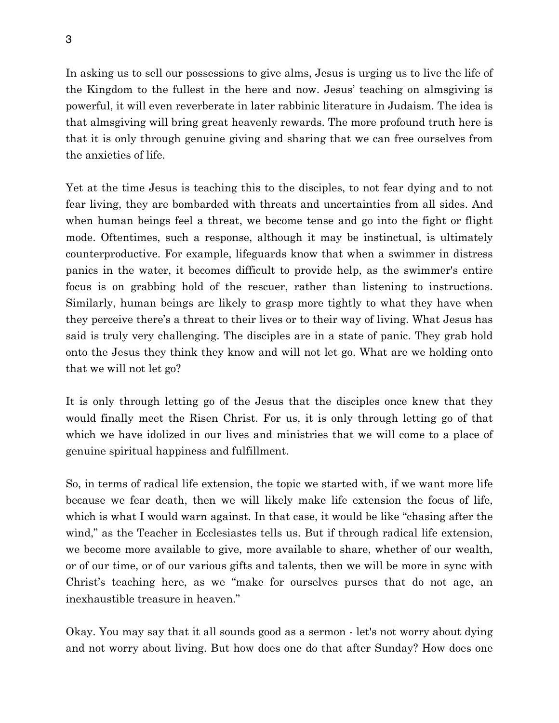In asking us to sell our possessions to give alms, Jesus is urging us to live the life of the Kingdom to the fullest in the here and now. Jesus' teaching on almsgiving is powerful, it will even reverberate in later rabbinic literature in Judaism. The idea is that almsgiving will bring great heavenly rewards. The more profound truth here is that it is only through genuine giving and sharing that we can free ourselves from the anxieties of life.

Yet at the time Jesus is teaching this to the disciples, to not fear dying and to not fear living, they are bombarded with threats and uncertainties from all sides. And when human beings feel a threat, we become tense and go into the fight or flight mode. Oftentimes, such a response, although it may be instinctual, is ultimately counterproductive. For example, lifeguards know that when a swimmer in distress panics in the water, it becomes difficult to provide help, as the swimmer's entire focus is on grabbing hold of the rescuer, rather than listening to instructions. Similarly, human beings are likely to grasp more tightly to what they have when they perceive there's a threat to their lives or to their way of living. What Jesus has said is truly very challenging. The disciples are in a state of panic. They grab hold onto the Jesus they think they know and will not let go. What are we holding onto that we will not let go?

It is only through letting go of the Jesus that the disciples once knew that they would finally meet the Risen Christ. For us, it is only through letting go of that which we have idolized in our lives and ministries that we will come to a place of genuine spiritual happiness and fulfillment.

So, in terms of radical life extension, the topic we started with, if we want more life because we fear death, then we will likely make life extension the focus of life, which is what I would warn against. In that case, it would be like "chasing after the wind," as the Teacher in Ecclesiastes tells us. But if through radical life extension, we become more available to give, more available to share, whether of our wealth, or of our time, or of our various gifts and talents, then we will be more in sync with Christ's teaching here, as we "make for ourselves purses that do not age, an inexhaustible treasure in heaven."

Okay. You may say that it all sounds good as a sermon - let's not worry about dying and not worry about living. But how does one do that after Sunday? How does one